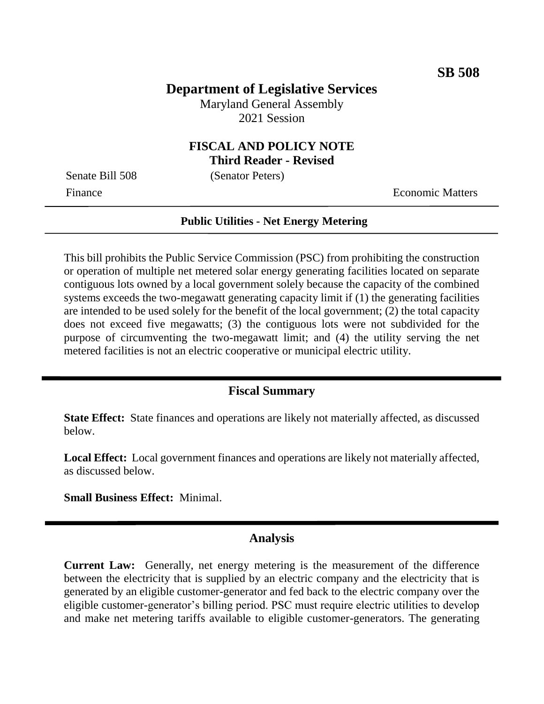### **Department of Legislative Services**

Maryland General Assembly 2021 Session

# **FISCAL AND POLICY NOTE**

**Third Reader - Revised**

Senate Bill 508 (Senator Peters)

Finance **Exercífical Economic Matters** 

#### **Public Utilities - Net Energy Metering**

This bill prohibits the Public Service Commission (PSC) from prohibiting the construction or operation of multiple net metered solar energy generating facilities located on separate contiguous lots owned by a local government solely because the capacity of the combined systems exceeds the two-megawatt generating capacity limit if (1) the generating facilities are intended to be used solely for the benefit of the local government; (2) the total capacity does not exceed five megawatts; (3) the contiguous lots were not subdivided for the purpose of circumventing the two-megawatt limit; and (4) the utility serving the net metered facilities is not an electric cooperative or municipal electric utility.

#### **Fiscal Summary**

**State Effect:** State finances and operations are likely not materially affected, as discussed below.

**Local Effect:** Local government finances and operations are likely not materially affected, as discussed below.

**Small Business Effect:** Minimal.

#### **Analysis**

**Current Law:** Generally, net energy metering is the measurement of the difference between the electricity that is supplied by an electric company and the electricity that is generated by an eligible customer-generator and fed back to the electric company over the eligible customer-generator's billing period. PSC must require electric utilities to develop and make net metering tariffs available to eligible customer-generators. The generating